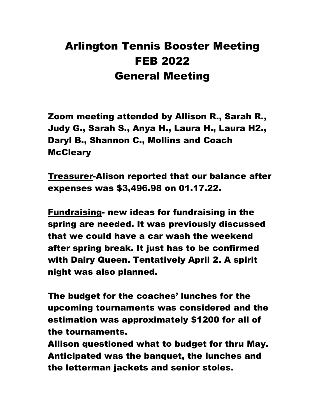## Arlington Tennis Booster Meeting FEB 2022 General Meeting

Zoom meeting attended by Allison R., Sarah R., Judy G., Sarah S., Anya H., Laura H., Laura H2., Daryl B., Shannon C., Mollins and Coach **McCleary** 

Treasurer-Alison reported that our balance after expenses was \$3,496.98 on 01.17.22.

Fundraising- new ideas for fundraising in the spring are needed. It was previously discussed that we could have a car wash the weekend after spring break. It just has to be confirmed with Dairy Queen. Tentatively April 2. A spirit night was also planned.

The budget for the coaches' lunches for the upcoming tournaments was considered and the estimation was approximately \$1200 for all of the tournaments.

Allison questioned what to budget for thru May. Anticipated was the banquet, the lunches and the letterman jackets and senior stoles.